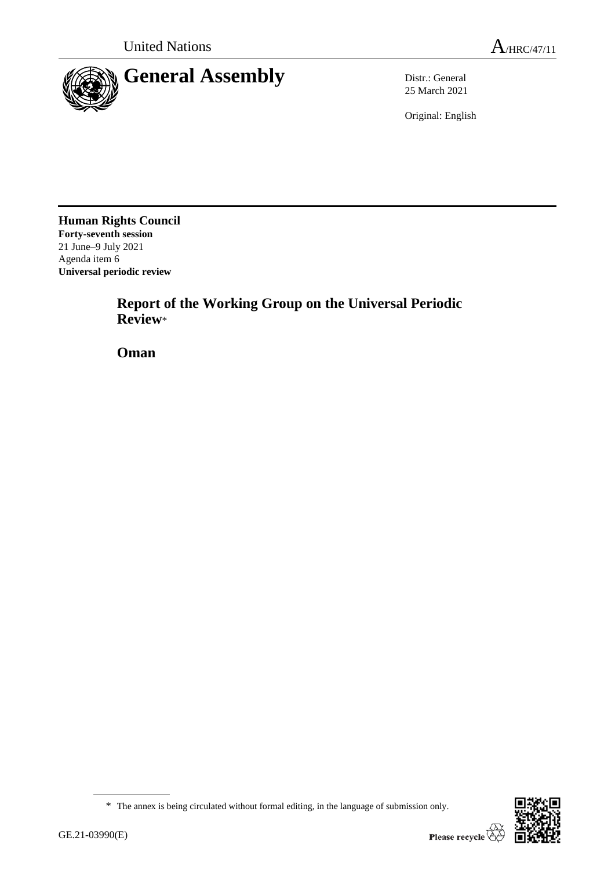

25 March 2021

Original: English

**Human Rights Council Forty-seventh session** 21 June–9 July 2021 Agenda item 6 **Universal periodic review**

> **Report of the Working Group on the Universal Periodic Review**\*

**Oman**



<sup>\*</sup> The annex is being circulated without formal editing, in the language of submission only.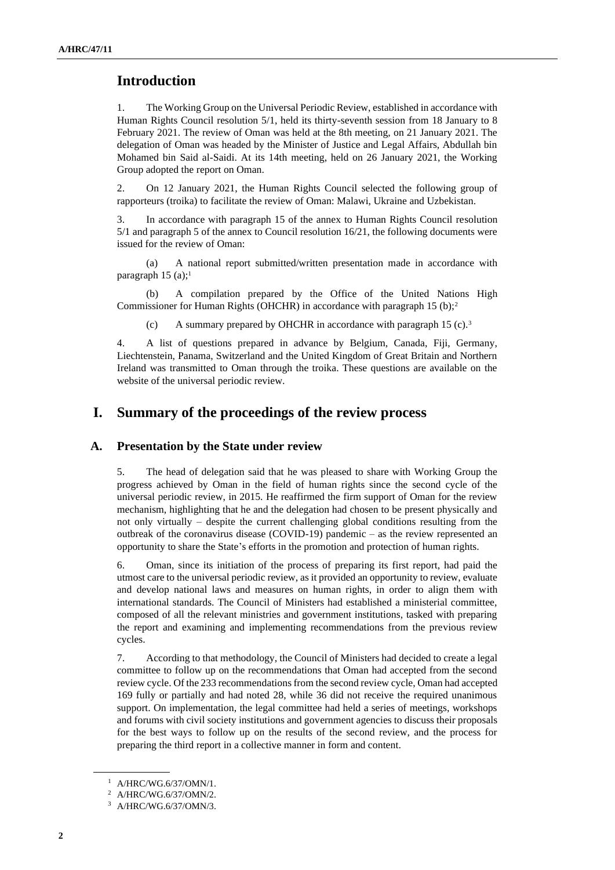# **Introduction**

1. The Working Group on the Universal Periodic Review, established in accordance with Human Rights Council resolution 5/1, held its thirty-seventh session from 18 January to 8 February 2021. The review of Oman was held at the 8th meeting, on 21 January 2021. The delegation of Oman was headed by the Minister of Justice and Legal Affairs, Abdullah bin Mohamed bin Said al-Saidi. At its 14th meeting, held on 26 January 2021, the Working Group adopted the report on Oman.

2. On 12 January 2021, the Human Rights Council selected the following group of rapporteurs (troika) to facilitate the review of Oman: Malawi, Ukraine and Uzbekistan.

3. In accordance with paragraph 15 of the annex to Human Rights Council resolution 5/1 and paragraph 5 of the annex to Council resolution 16/21, the following documents were issued for the review of Oman:

A national report submitted/written presentation made in accordance with paragraph 15 (a);<sup>1</sup>

(b) A compilation prepared by the Office of the United Nations High Commissioner for Human Rights (OHCHR) in accordance with paragraph 15 (b);<sup>2</sup>

(c) A summary prepared by OHCHR in accordance with paragraph 15 (c).<sup>3</sup>

4. A list of questions prepared in advance by Belgium, Canada, Fiji, Germany, Liechtenstein, Panama, Switzerland and the United Kingdom of Great Britain and Northern Ireland was transmitted to Oman through the troika. These questions are available on the website of the universal periodic review.

# **I. Summary of the proceedings of the review process**

#### **A. Presentation by the State under review**

5. The head of delegation said that he was pleased to share with Working Group the progress achieved by Oman in the field of human rights since the second cycle of the universal periodic review, in 2015. He reaffirmed the firm support of Oman for the review mechanism, highlighting that he and the delegation had chosen to be present physically and not only virtually – despite the current challenging global conditions resulting from the outbreak of the coronavirus disease (COVID-19) pandemic – as the review represented an opportunity to share the State's efforts in the promotion and protection of human rights.

6. Oman, since its initiation of the process of preparing its first report, had paid the utmost care to the universal periodic review, as it provided an opportunity to review, evaluate and develop national laws and measures on human rights, in order to align them with international standards. The Council of Ministers had established a ministerial committee, composed of all the relevant ministries and government institutions, tasked with preparing the report and examining and implementing recommendations from the previous review cycles.

7. According to that methodology, the Council of Ministers had decided to create a legal committee to follow up on the recommendations that Oman had accepted from the second review cycle. Of the 233 recommendations from the second review cycle, Oman had accepted 169 fully or partially and had noted 28, while 36 did not receive the required unanimous support. On implementation, the legal committee had held a series of meetings, workshops and forums with civil society institutions and government agencies to discuss their proposals for the best ways to follow up on the results of the second review, and the process for preparing the third report in a collective manner in form and content.

<sup>1</sup> A/HRC/WG.6/37/OMN/1.

<sup>2</sup> A/HRC/WG.6/37/OMN/2.

<sup>3</sup> A/HRC/WG.6/37/OMN/3.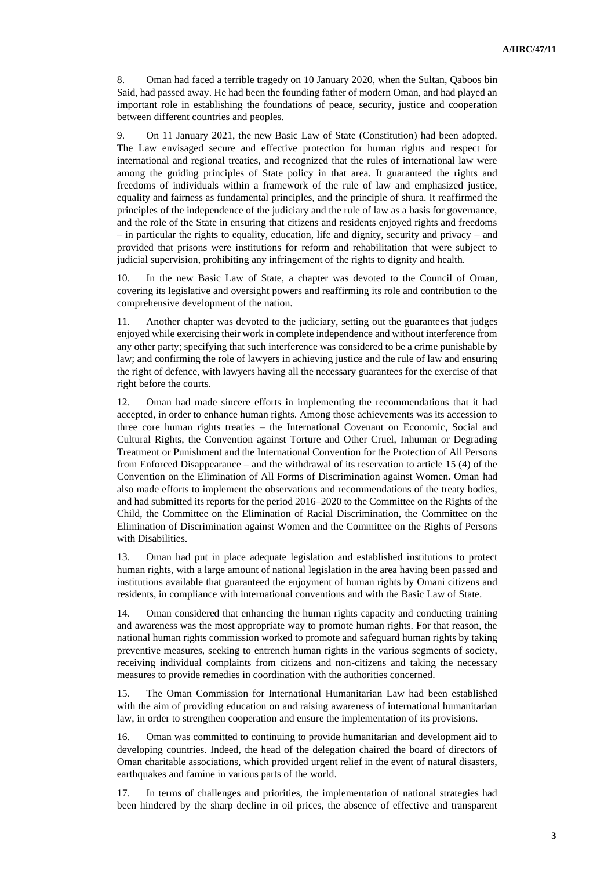8. Oman had faced a terrible tragedy on 10 January 2020, when the Sultan, Qaboos bin Said, had passed away. He had been the founding father of modern Oman, and had played an important role in establishing the foundations of peace, security, justice and cooperation between different countries and peoples.

9. On 11 January 2021, the new Basic Law of State (Constitution) had been adopted. The Law envisaged secure and effective protection for human rights and respect for international and regional treaties, and recognized that the rules of international law were among the guiding principles of State policy in that area. It guaranteed the rights and freedoms of individuals within a framework of the rule of law and emphasized justice, equality and fairness as fundamental principles, and the principle of shura. It reaffirmed the principles of the independence of the judiciary and the rule of law as a basis for governance, and the role of the State in ensuring that citizens and residents enjoyed rights and freedoms – in particular the rights to equality, education, life and dignity, security and privacy – and provided that prisons were institutions for reform and rehabilitation that were subject to judicial supervision, prohibiting any infringement of the rights to dignity and health.

10. In the new Basic Law of State, a chapter was devoted to the Council of Oman, covering its legislative and oversight powers and reaffirming its role and contribution to the comprehensive development of the nation.

Another chapter was devoted to the judiciary, setting out the guarantees that judges enjoyed while exercising their work in complete independence and without interference from any other party; specifying that such interference was considered to be a crime punishable by law; and confirming the role of lawyers in achieving justice and the rule of law and ensuring the right of defence, with lawyers having all the necessary guarantees for the exercise of that right before the courts.

12. Oman had made sincere efforts in implementing the recommendations that it had accepted, in order to enhance human rights. Among those achievements was its accession to three core human rights treaties – the International Covenant on Economic, Social and Cultural Rights, the Convention against Torture and Other Cruel, Inhuman or Degrading Treatment or Punishment and the International Convention for the Protection of All Persons from Enforced Disappearance – and the withdrawal of its reservation to article 15 (4) of the Convention on the Elimination of All Forms of Discrimination against Women. Oman had also made efforts to implement the observations and recommendations of the treaty bodies, and had submitted its reports for the period 2016–2020 to the Committee on the Rights of the Child, the Committee on the Elimination of Racial Discrimination, the Committee on the Elimination of Discrimination against Women and the Committee on the Rights of Persons with Disabilities.

13. Oman had put in place adequate legislation and established institutions to protect human rights, with a large amount of national legislation in the area having been passed and institutions available that guaranteed the enjoyment of human rights by Omani citizens and residents, in compliance with international conventions and with the Basic Law of State.

14. Oman considered that enhancing the human rights capacity and conducting training and awareness was the most appropriate way to promote human rights. For that reason, the national human rights commission worked to promote and safeguard human rights by taking preventive measures, seeking to entrench human rights in the various segments of society, receiving individual complaints from citizens and non-citizens and taking the necessary measures to provide remedies in coordination with the authorities concerned.

15. The Oman Commission for International Humanitarian Law had been established with the aim of providing education on and raising awareness of international humanitarian law, in order to strengthen cooperation and ensure the implementation of its provisions.

16. Oman was committed to continuing to provide humanitarian and development aid to developing countries. Indeed, the head of the delegation chaired the board of directors of Oman charitable associations, which provided urgent relief in the event of natural disasters, earthquakes and famine in various parts of the world.

17. In terms of challenges and priorities, the implementation of national strategies had been hindered by the sharp decline in oil prices, the absence of effective and transparent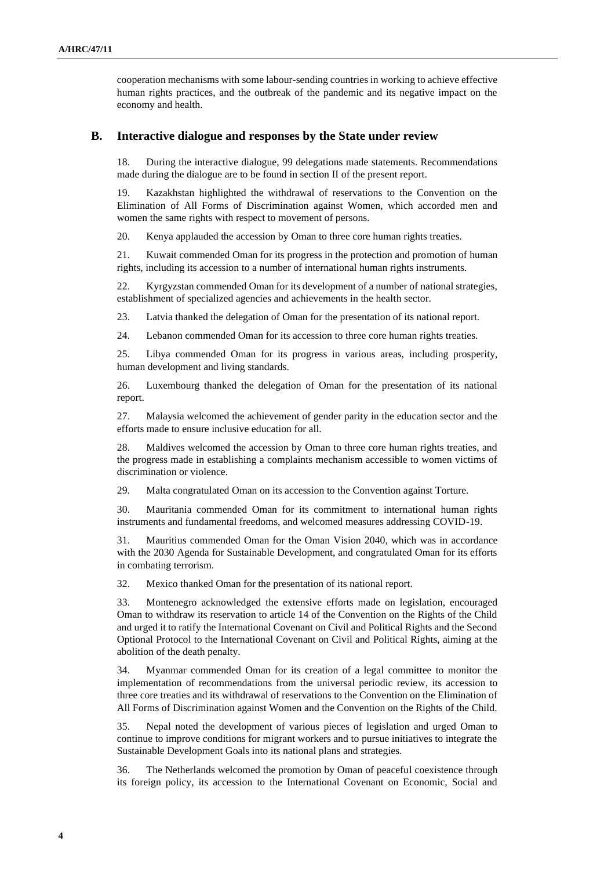cooperation mechanisms with some labour-sending countries in working to achieve effective human rights practices, and the outbreak of the pandemic and its negative impact on the economy and health.

#### **B. Interactive dialogue and responses by the State under review**

18. During the interactive dialogue, 99 delegations made statements. Recommendations made during the dialogue are to be found in section II of the present report.

19. Kazakhstan highlighted the withdrawal of reservations to the Convention on the Elimination of All Forms of Discrimination against Women, which accorded men and women the same rights with respect to movement of persons.

20. Kenya applauded the accession by Oman to three core human rights treaties.

21. Kuwait commended Oman for its progress in the protection and promotion of human rights, including its accession to a number of international human rights instruments.

22. Kyrgyzstan commended Oman for its development of a number of national strategies, establishment of specialized agencies and achievements in the health sector.

23. Latvia thanked the delegation of Oman for the presentation of its national report.

24. Lebanon commended Oman for its accession to three core human rights treaties.

25. Libya commended Oman for its progress in various areas, including prosperity, human development and living standards.

26. Luxembourg thanked the delegation of Oman for the presentation of its national report.

27. Malaysia welcomed the achievement of gender parity in the education sector and the efforts made to ensure inclusive education for all.

28. Maldives welcomed the accession by Oman to three core human rights treaties, and the progress made in establishing a complaints mechanism accessible to women victims of discrimination or violence.

29. Malta congratulated Oman on its accession to the Convention against Torture.

30. Mauritania commended Oman for its commitment to international human rights instruments and fundamental freedoms, and welcomed measures addressing COVID-19.

31. Mauritius commended Oman for the Oman Vision 2040, which was in accordance with the 2030 Agenda for Sustainable Development, and congratulated Oman for its efforts in combating terrorism.

32. Mexico thanked Oman for the presentation of its national report.

33. Montenegro acknowledged the extensive efforts made on legislation, encouraged Oman to withdraw its reservation to article 14 of the Convention on the Rights of the Child and urged it to ratify the International Covenant on Civil and Political Rights and the Second Optional Protocol to the International Covenant on Civil and Political Rights, aiming at the abolition of the death penalty.

34. Myanmar commended Oman for its creation of a legal committee to monitor the implementation of recommendations from the universal periodic review, its accession to three core treaties and its withdrawal of reservations to the Convention on the Elimination of All Forms of Discrimination against Women and the Convention on the Rights of the Child.

35. Nepal noted the development of various pieces of legislation and urged Oman to continue to improve conditions for migrant workers and to pursue initiatives to integrate the Sustainable Development Goals into its national plans and strategies.

36. The Netherlands welcomed the promotion by Oman of peaceful coexistence through its foreign policy, its accession to the International Covenant on Economic, Social and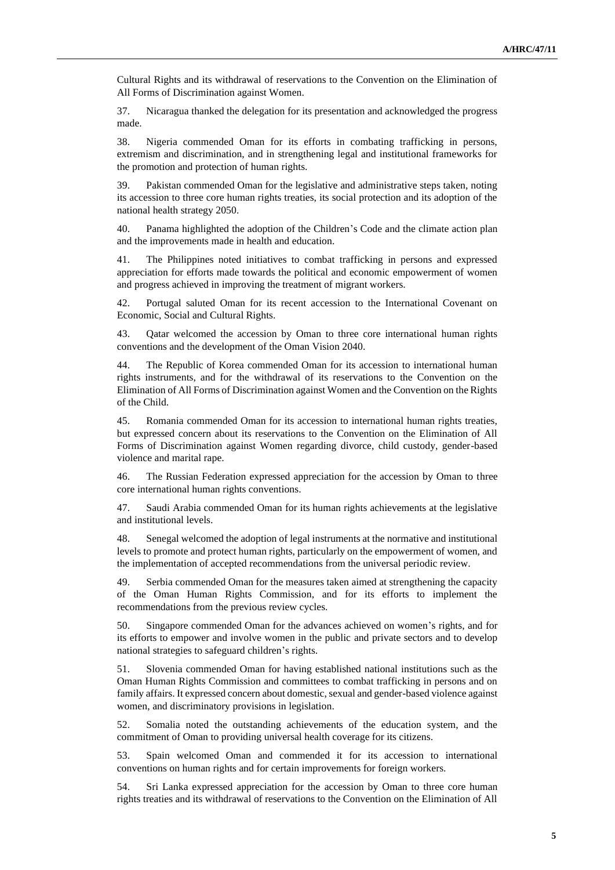Cultural Rights and its withdrawal of reservations to the Convention on the Elimination of All Forms of Discrimination against Women.

37. Nicaragua thanked the delegation for its presentation and acknowledged the progress made.

38. Nigeria commended Oman for its efforts in combating trafficking in persons, extremism and discrimination, and in strengthening legal and institutional frameworks for the promotion and protection of human rights.

39. Pakistan commended Oman for the legislative and administrative steps taken, noting its accession to three core human rights treaties, its social protection and its adoption of the national health strategy 2050.

40. Panama highlighted the adoption of the Children's Code and the climate action plan and the improvements made in health and education.

41. The Philippines noted initiatives to combat trafficking in persons and expressed appreciation for efforts made towards the political and economic empowerment of women and progress achieved in improving the treatment of migrant workers.

42. Portugal saluted Oman for its recent accession to the International Covenant on Economic, Social and Cultural Rights.

43. Qatar welcomed the accession by Oman to three core international human rights conventions and the development of the Oman Vision 2040.

44. The Republic of Korea commended Oman for its accession to international human rights instruments, and for the withdrawal of its reservations to the Convention on the Elimination of All Forms of Discrimination against Women and the Convention on the Rights of the Child.

45. Romania commended Oman for its accession to international human rights treaties, but expressed concern about its reservations to the Convention on the Elimination of All Forms of Discrimination against Women regarding divorce, child custody, gender-based violence and marital rape.

46. The Russian Federation expressed appreciation for the accession by Oman to three core international human rights conventions.

47. Saudi Arabia commended Oman for its human rights achievements at the legislative and institutional levels.

48. Senegal welcomed the adoption of legal instruments at the normative and institutional levels to promote and protect human rights, particularly on the empowerment of women, and the implementation of accepted recommendations from the universal periodic review.

49. Serbia commended Oman for the measures taken aimed at strengthening the capacity of the Oman Human Rights Commission, and for its efforts to implement the recommendations from the previous review cycles.

50. Singapore commended Oman for the advances achieved on women's rights, and for its efforts to empower and involve women in the public and private sectors and to develop national strategies to safeguard children's rights.

51. Slovenia commended Oman for having established national institutions such as the Oman Human Rights Commission and committees to combat trafficking in persons and on family affairs. It expressed concern about domestic, sexual and gender-based violence against women, and discriminatory provisions in legislation.

52. Somalia noted the outstanding achievements of the education system, and the commitment of Oman to providing universal health coverage for its citizens.

53. Spain welcomed Oman and commended it for its accession to international conventions on human rights and for certain improvements for foreign workers.

54. Sri Lanka expressed appreciation for the accession by Oman to three core human rights treaties and its withdrawal of reservations to the Convention on the Elimination of All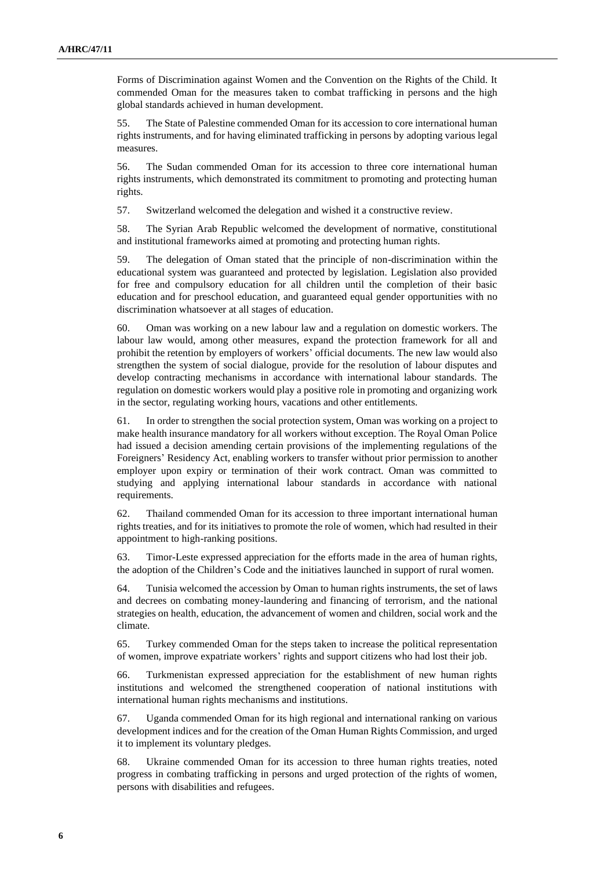Forms of Discrimination against Women and the Convention on the Rights of the Child. It commended Oman for the measures taken to combat trafficking in persons and the high global standards achieved in human development.

55. The State of Palestine commended Oman for its accession to core international human rights instruments, and for having eliminated trafficking in persons by adopting various legal measures.

56. The Sudan commended Oman for its accession to three core international human rights instruments, which demonstrated its commitment to promoting and protecting human rights.

57. Switzerland welcomed the delegation and wished it a constructive review.

58. The Syrian Arab Republic welcomed the development of normative, constitutional and institutional frameworks aimed at promoting and protecting human rights.

59. The delegation of Oman stated that the principle of non-discrimination within the educational system was guaranteed and protected by legislation. Legislation also provided for free and compulsory education for all children until the completion of their basic education and for preschool education, and guaranteed equal gender opportunities with no discrimination whatsoever at all stages of education.

60. Oman was working on a new labour law and a regulation on domestic workers. The labour law would, among other measures, expand the protection framework for all and prohibit the retention by employers of workers' official documents. The new law would also strengthen the system of social dialogue, provide for the resolution of labour disputes and develop contracting mechanisms in accordance with international labour standards. The regulation on domestic workers would play a positive role in promoting and organizing work in the sector, regulating working hours, vacations and other entitlements.

61. In order to strengthen the social protection system, Oman was working on a project to make health insurance mandatory for all workers without exception. The Royal Oman Police had issued a decision amending certain provisions of the implementing regulations of the Foreigners' Residency Act, enabling workers to transfer without prior permission to another employer upon expiry or termination of their work contract. Oman was committed to studying and applying international labour standards in accordance with national requirements.

62. Thailand commended Oman for its accession to three important international human rights treaties, and for its initiatives to promote the role of women, which had resulted in their appointment to high-ranking positions.

63. Timor-Leste expressed appreciation for the efforts made in the area of human rights, the adoption of the Children's Code and the initiatives launched in support of rural women.

64. Tunisia welcomed the accession by Oman to human rights instruments, the set of laws and decrees on combating money-laundering and financing of terrorism, and the national strategies on health, education, the advancement of women and children, social work and the climate.

65. Turkey commended Oman for the steps taken to increase the political representation of women, improve expatriate workers' rights and support citizens who had lost their job.

66. Turkmenistan expressed appreciation for the establishment of new human rights institutions and welcomed the strengthened cooperation of national institutions with international human rights mechanisms and institutions.

67. Uganda commended Oman for its high regional and international ranking on various development indices and for the creation of the Oman Human Rights Commission, and urged it to implement its voluntary pledges.

68. Ukraine commended Oman for its accession to three human rights treaties, noted progress in combating trafficking in persons and urged protection of the rights of women, persons with disabilities and refugees.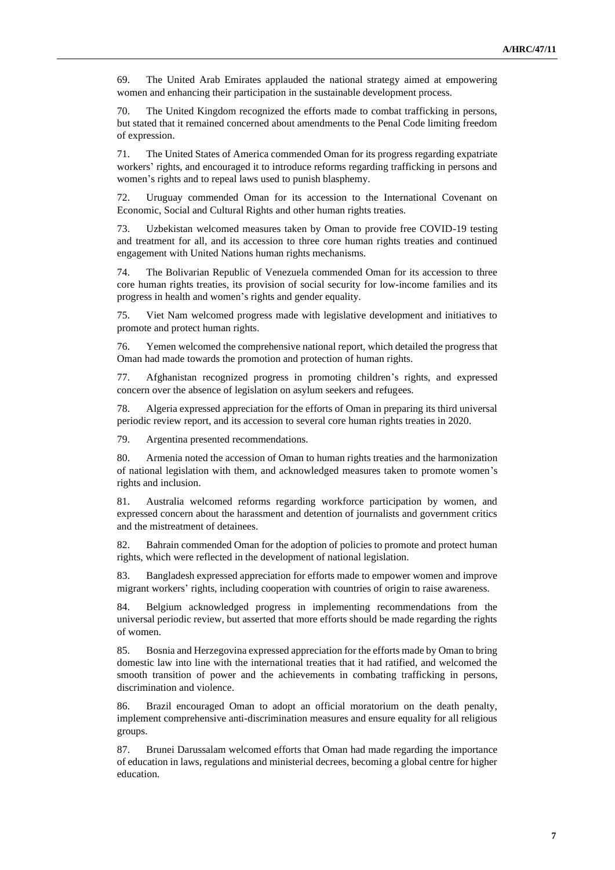69. The United Arab Emirates applauded the national strategy aimed at empowering women and enhancing their participation in the sustainable development process.

70. The United Kingdom recognized the efforts made to combat trafficking in persons, but stated that it remained concerned about amendments to the Penal Code limiting freedom of expression.

71. The United States of America commended Oman for its progress regarding expatriate workers' rights, and encouraged it to introduce reforms regarding trafficking in persons and women's rights and to repeal laws used to punish blasphemy.

72. Uruguay commended Oman for its accession to the International Covenant on Economic, Social and Cultural Rights and other human rights treaties.

73. Uzbekistan welcomed measures taken by Oman to provide free COVID-19 testing and treatment for all, and its accession to three core human rights treaties and continued engagement with United Nations human rights mechanisms.

74. The Bolivarian Republic of Venezuela commended Oman for its accession to three core human rights treaties, its provision of social security for low-income families and its progress in health and women's rights and gender equality.

75. Viet Nam welcomed progress made with legislative development and initiatives to promote and protect human rights.

76. Yemen welcomed the comprehensive national report, which detailed the progress that Oman had made towards the promotion and protection of human rights.

77. Afghanistan recognized progress in promoting children's rights, and expressed concern over the absence of legislation on asylum seekers and refugees.

78. Algeria expressed appreciation for the efforts of Oman in preparing its third universal periodic review report, and its accession to several core human rights treaties in 2020.

79. Argentina presented recommendations.

80. Armenia noted the accession of Oman to human rights treaties and the harmonization of national legislation with them, and acknowledged measures taken to promote women's rights and inclusion.

81. Australia welcomed reforms regarding workforce participation by women, and expressed concern about the harassment and detention of journalists and government critics and the mistreatment of detainees.

82. Bahrain commended Oman for the adoption of policies to promote and protect human rights, which were reflected in the development of national legislation.

83. Bangladesh expressed appreciation for efforts made to empower women and improve migrant workers' rights, including cooperation with countries of origin to raise awareness.

84. Belgium acknowledged progress in implementing recommendations from the universal periodic review, but asserted that more efforts should be made regarding the rights of women.

85. Bosnia and Herzegovina expressed appreciation for the efforts made by Oman to bring domestic law into line with the international treaties that it had ratified, and welcomed the smooth transition of power and the achievements in combating trafficking in persons, discrimination and violence.

86. Brazil encouraged Oman to adopt an official moratorium on the death penalty, implement comprehensive anti-discrimination measures and ensure equality for all religious groups.

87. Brunei Darussalam welcomed efforts that Oman had made regarding the importance of education in laws, regulations and ministerial decrees, becoming a global centre for higher education.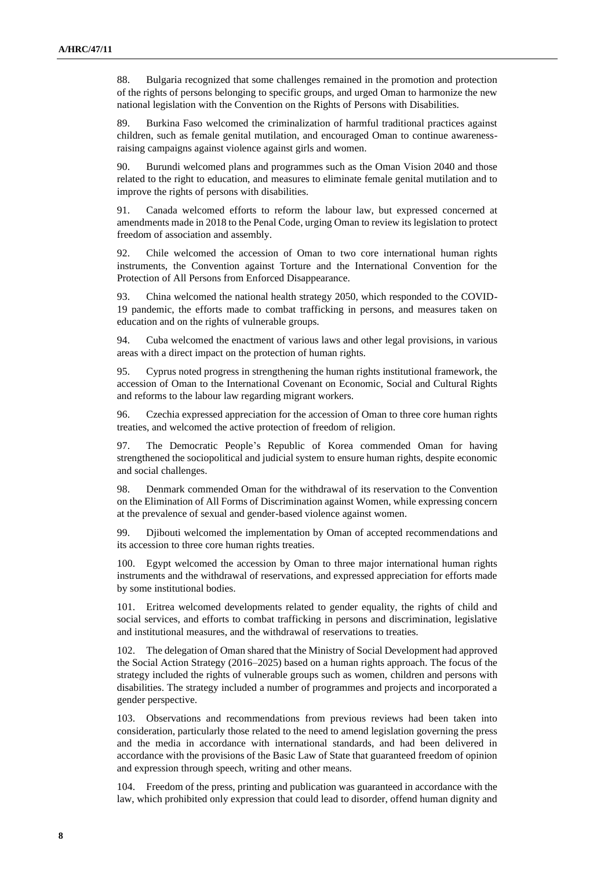88. Bulgaria recognized that some challenges remained in the promotion and protection of the rights of persons belonging to specific groups, and urged Oman to harmonize the new national legislation with the Convention on the Rights of Persons with Disabilities.

89. Burkina Faso welcomed the criminalization of harmful traditional practices against children, such as female genital mutilation, and encouraged Oman to continue awarenessraising campaigns against violence against girls and women.

90. Burundi welcomed plans and programmes such as the Oman Vision 2040 and those related to the right to education, and measures to eliminate female genital mutilation and to improve the rights of persons with disabilities.

91. Canada welcomed efforts to reform the labour law, but expressed concerned at amendments made in 2018 to the Penal Code, urging Oman to review its legislation to protect freedom of association and assembly.

92. Chile welcomed the accession of Oman to two core international human rights instruments, the Convention against Torture and the International Convention for the Protection of All Persons from Enforced Disappearance.

93. China welcomed the national health strategy 2050, which responded to the COVID-19 pandemic, the efforts made to combat trafficking in persons, and measures taken on education and on the rights of vulnerable groups.

94. Cuba welcomed the enactment of various laws and other legal provisions, in various areas with a direct impact on the protection of human rights.

95. Cyprus noted progress in strengthening the human rights institutional framework, the accession of Oman to the International Covenant on Economic, Social and Cultural Rights and reforms to the labour law regarding migrant workers.

96. Czechia expressed appreciation for the accession of Oman to three core human rights treaties, and welcomed the active protection of freedom of religion.

97. The Democratic People's Republic of Korea commended Oman for having strengthened the sociopolitical and judicial system to ensure human rights, despite economic and social challenges.

98. Denmark commended Oman for the withdrawal of its reservation to the Convention on the Elimination of All Forms of Discrimination against Women, while expressing concern at the prevalence of sexual and gender-based violence against women.

99. Djibouti welcomed the implementation by Oman of accepted recommendations and its accession to three core human rights treaties.

100. Egypt welcomed the accession by Oman to three major international human rights instruments and the withdrawal of reservations, and expressed appreciation for efforts made by some institutional bodies.

101. Eritrea welcomed developments related to gender equality, the rights of child and social services, and efforts to combat trafficking in persons and discrimination, legislative and institutional measures, and the withdrawal of reservations to treaties.

102. The delegation of Oman shared that the Ministry of Social Development had approved the Social Action Strategy (2016–2025) based on a human rights approach. The focus of the strategy included the rights of vulnerable groups such as women, children and persons with disabilities. The strategy included a number of programmes and projects and incorporated a gender perspective.

103. Observations and recommendations from previous reviews had been taken into consideration, particularly those related to the need to amend legislation governing the press and the media in accordance with international standards, and had been delivered in accordance with the provisions of the Basic Law of State that guaranteed freedom of opinion and expression through speech, writing and other means.

104. Freedom of the press, printing and publication was guaranteed in accordance with the law, which prohibited only expression that could lead to disorder, offend human dignity and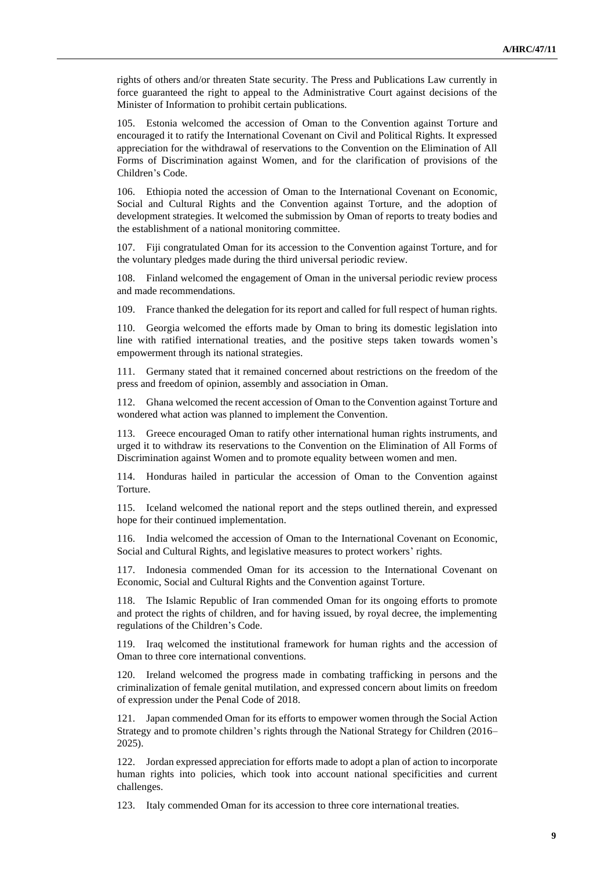rights of others and/or threaten State security. The Press and Publications Law currently in force guaranteed the right to appeal to the Administrative Court against decisions of the Minister of Information to prohibit certain publications.

105. Estonia welcomed the accession of Oman to the Convention against Torture and encouraged it to ratify the International Covenant on Civil and Political Rights. It expressed appreciation for the withdrawal of reservations to the Convention on the Elimination of All Forms of Discrimination against Women, and for the clarification of provisions of the Children's Code.

106. Ethiopia noted the accession of Oman to the International Covenant on Economic, Social and Cultural Rights and the Convention against Torture, and the adoption of development strategies. It welcomed the submission by Oman of reports to treaty bodies and the establishment of a national monitoring committee.

107. Fiji congratulated Oman for its accession to the Convention against Torture, and for the voluntary pledges made during the third universal periodic review.

108. Finland welcomed the engagement of Oman in the universal periodic review process and made recommendations.

109. France thanked the delegation for its report and called for full respect of human rights.

110. Georgia welcomed the efforts made by Oman to bring its domestic legislation into line with ratified international treaties, and the positive steps taken towards women's empowerment through its national strategies.

111. Germany stated that it remained concerned about restrictions on the freedom of the press and freedom of opinion, assembly and association in Oman.

112. Ghana welcomed the recent accession of Oman to the Convention against Torture and wondered what action was planned to implement the Convention.

113. Greece encouraged Oman to ratify other international human rights instruments, and urged it to withdraw its reservations to the Convention on the Elimination of All Forms of Discrimination against Women and to promote equality between women and men.

114. Honduras hailed in particular the accession of Oman to the Convention against Torture.

115. Iceland welcomed the national report and the steps outlined therein, and expressed hope for their continued implementation.

116. India welcomed the accession of Oman to the International Covenant on Economic, Social and Cultural Rights, and legislative measures to protect workers' rights.

117. Indonesia commended Oman for its accession to the International Covenant on Economic, Social and Cultural Rights and the Convention against Torture.

118. The Islamic Republic of Iran commended Oman for its ongoing efforts to promote and protect the rights of children, and for having issued, by royal decree, the implementing regulations of the Children's Code.

119. Iraq welcomed the institutional framework for human rights and the accession of Oman to three core international conventions.

120. Ireland welcomed the progress made in combating trafficking in persons and the criminalization of female genital mutilation, and expressed concern about limits on freedom of expression under the Penal Code of 2018.

121. Japan commended Oman for its efforts to empower women through the Social Action Strategy and to promote children's rights through the National Strategy for Children (2016– 2025).

122. Jordan expressed appreciation for efforts made to adopt a plan of action to incorporate human rights into policies, which took into account national specificities and current challenges.

123. Italy commended Oman for its accession to three core international treaties.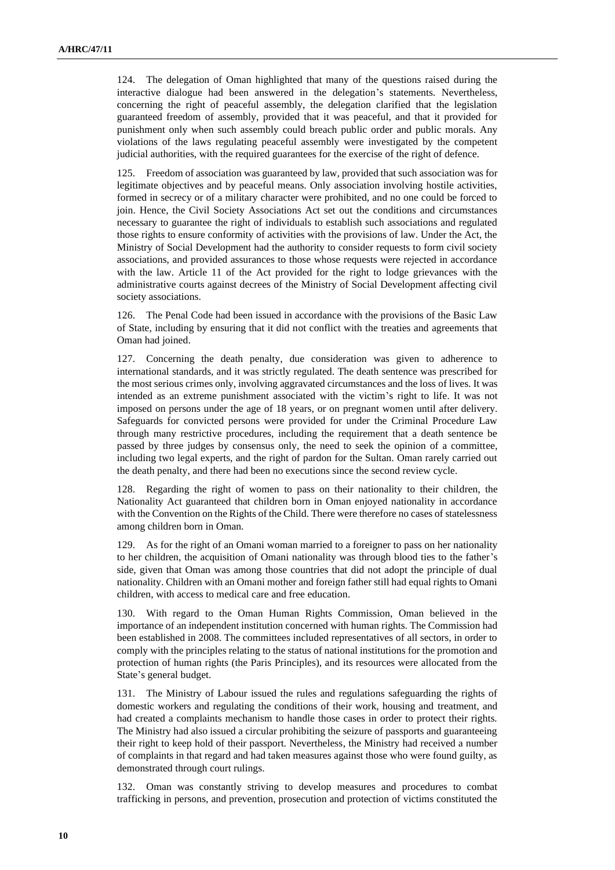124. The delegation of Oman highlighted that many of the questions raised during the interactive dialogue had been answered in the delegation's statements. Nevertheless, concerning the right of peaceful assembly, the delegation clarified that the legislation guaranteed freedom of assembly, provided that it was peaceful, and that it provided for punishment only when such assembly could breach public order and public morals. Any violations of the laws regulating peaceful assembly were investigated by the competent judicial authorities, with the required guarantees for the exercise of the right of defence.

125. Freedom of association was guaranteed by law, provided that such association was for legitimate objectives and by peaceful means. Only association involving hostile activities, formed in secrecy or of a military character were prohibited, and no one could be forced to join. Hence, the Civil Society Associations Act set out the conditions and circumstances necessary to guarantee the right of individuals to establish such associations and regulated those rights to ensure conformity of activities with the provisions of law. Under the Act, the Ministry of Social Development had the authority to consider requests to form civil society associations, and provided assurances to those whose requests were rejected in accordance with the law. Article 11 of the Act provided for the right to lodge grievances with the administrative courts against decrees of the Ministry of Social Development affecting civil society associations.

126. The Penal Code had been issued in accordance with the provisions of the Basic Law of State, including by ensuring that it did not conflict with the treaties and agreements that Oman had joined.

127. Concerning the death penalty, due consideration was given to adherence to international standards, and it was strictly regulated. The death sentence was prescribed for the most serious crimes only, involving aggravated circumstances and the loss of lives. It was intended as an extreme punishment associated with the victim's right to life. It was not imposed on persons under the age of 18 years, or on pregnant women until after delivery. Safeguards for convicted persons were provided for under the Criminal Procedure Law through many restrictive procedures, including the requirement that a death sentence be passed by three judges by consensus only, the need to seek the opinion of a committee, including two legal experts, and the right of pardon for the Sultan. Oman rarely carried out the death penalty, and there had been no executions since the second review cycle.

128. Regarding the right of women to pass on their nationality to their children, the Nationality Act guaranteed that children born in Oman enjoyed nationality in accordance with the Convention on the Rights of the Child. There were therefore no cases of statelessness among children born in Oman.

129. As for the right of an Omani woman married to a foreigner to pass on her nationality to her children, the acquisition of Omani nationality was through blood ties to the father's side, given that Oman was among those countries that did not adopt the principle of dual nationality. Children with an Omani mother and foreign father still had equal rights to Omani children, with access to medical care and free education.

130. With regard to the Oman Human Rights Commission, Oman believed in the importance of an independent institution concerned with human rights. The Commission had been established in 2008. The committees included representatives of all sectors, in order to comply with the principles relating to the status of national institutions for the promotion and protection of human rights (the Paris Principles), and its resources were allocated from the State's general budget.

131. The Ministry of Labour issued the rules and regulations safeguarding the rights of domestic workers and regulating the conditions of their work, housing and treatment, and had created a complaints mechanism to handle those cases in order to protect their rights. The Ministry had also issued a circular prohibiting the seizure of passports and guaranteeing their right to keep hold of their passport. Nevertheless, the Ministry had received a number of complaints in that regard and had taken measures against those who were found guilty, as demonstrated through court rulings.

132. Oman was constantly striving to develop measures and procedures to combat trafficking in persons, and prevention, prosecution and protection of victims constituted the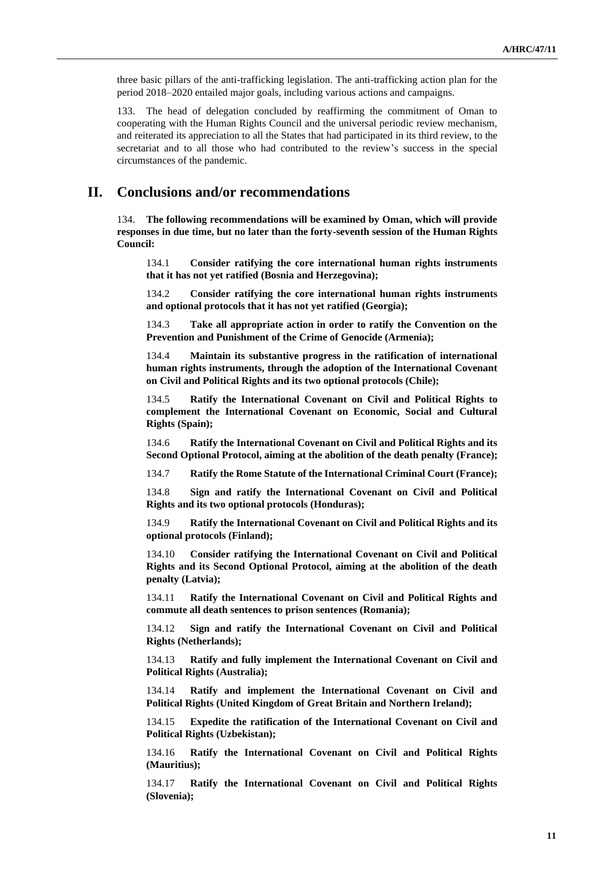three basic pillars of the anti-trafficking legislation. The anti-trafficking action plan for the period 2018–2020 entailed major goals, including various actions and campaigns.

133. The head of delegation concluded by reaffirming the commitment of Oman to cooperating with the Human Rights Council and the universal periodic review mechanism, and reiterated its appreciation to all the States that had participated in its third review, to the secretariat and to all those who had contributed to the review's success in the special circumstances of the pandemic.

### **II. Conclusions and/or recommendations**

134. **The following recommendations will be examined by Oman, which will provide responses in due time, but no later than the forty-seventh session of the Human Rights Council:**

134.1 **Consider ratifying the core international human rights instruments that it has not yet ratified (Bosnia and Herzegovina);**

134.2 **Consider ratifying the core international human rights instruments and optional protocols that it has not yet ratified (Georgia);**

134.3 **Take all appropriate action in order to ratify the Convention on the Prevention and Punishment of the Crime of Genocide (Armenia);**

134.4 **Maintain its substantive progress in the ratification of international human rights instruments, through the adoption of the International Covenant on Civil and Political Rights and its two optional protocols (Chile);**

134.5 **Ratify the International Covenant on Civil and Political Rights to complement the International Covenant on Economic, Social and Cultural Rights (Spain);**

134.6 **Ratify the International Covenant on Civil and Political Rights and its Second Optional Protocol, aiming at the abolition of the death penalty (France);**

134.7 **Ratify the Rome Statute of the International Criminal Court (France);**

134.8 **Sign and ratify the International Covenant on Civil and Political Rights and its two optional protocols (Honduras);**

134.9 **Ratify the International Covenant on Civil and Political Rights and its optional protocols (Finland);**

134.10 **Consider ratifying the International Covenant on Civil and Political Rights and its Second Optional Protocol, aiming at the abolition of the death penalty (Latvia);**

134.11 **Ratify the International Covenant on Civil and Political Rights and commute all death sentences to prison sentences (Romania);**

134.12 **Sign and ratify the International Covenant on Civil and Political Rights (Netherlands);**

134.13 **Ratify and fully implement the International Covenant on Civil and Political Rights (Australia);**

134.14 **Ratify and implement the International Covenant on Civil and Political Rights (United Kingdom of Great Britain and Northern Ireland);**

134.15 **Expedite the ratification of the International Covenant on Civil and Political Rights (Uzbekistan);**

134.16 **Ratify the International Covenant on Civil and Political Rights (Mauritius);**

134.17 **Ratify the International Covenant on Civil and Political Rights (Slovenia);**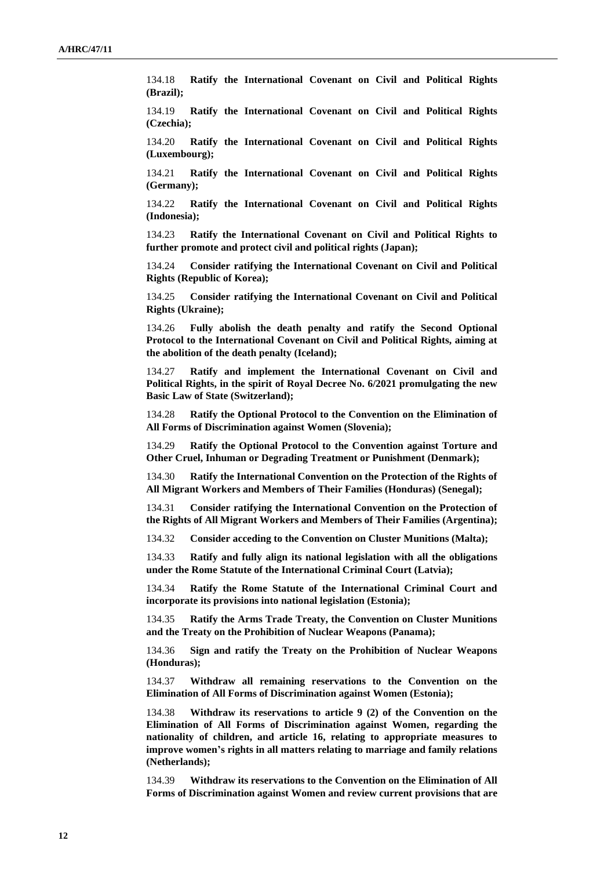134.18 **Ratify the International Covenant on Civil and Political Rights (Brazil);**

134.19 **Ratify the International Covenant on Civil and Political Rights (Czechia);**

134.20 **Ratify the International Covenant on Civil and Political Rights (Luxembourg);**

134.21 **Ratify the International Covenant on Civil and Political Rights (Germany);**

134.22 **Ratify the International Covenant on Civil and Political Rights (Indonesia);**

134.23 **Ratify the International Covenant on Civil and Political Rights to further promote and protect civil and political rights (Japan);**

134.24 **Consider ratifying the International Covenant on Civil and Political Rights (Republic of Korea);**

134.25 **Consider ratifying the International Covenant on Civil and Political Rights (Ukraine);**

134.26 **Fully abolish the death penalty and ratify the Second Optional Protocol to the International Covenant on Civil and Political Rights, aiming at the abolition of the death penalty (Iceland);**

134.27 **Ratify and implement the International Covenant on Civil and Political Rights, in the spirit of Royal Decree No. 6/2021 promulgating the new Basic Law of State (Switzerland);**

134.28 **Ratify the Optional Protocol to the Convention on the Elimination of All Forms of Discrimination against Women (Slovenia);**

134.29 **Ratify the Optional Protocol to the Convention against Torture and Other Cruel, Inhuman or Degrading Treatment or Punishment (Denmark);**

134.30 **Ratify the International Convention on the Protection of the Rights of All Migrant Workers and Members of Their Families (Honduras) (Senegal);**

134.31 **Consider ratifying the International Convention on the Protection of the Rights of All Migrant Workers and Members of Their Families (Argentina);**

134.32 **Consider acceding to the Convention on Cluster Munitions (Malta);**

134.33 **Ratify and fully align its national legislation with all the obligations under the Rome Statute of the International Criminal Court (Latvia);**

134.34 **Ratify the Rome Statute of the International Criminal Court and incorporate its provisions into national legislation (Estonia);**

134.35 **Ratify the Arms Trade Treaty, the Convention on Cluster Munitions and the Treaty on the Prohibition of Nuclear Weapons (Panama);**

134.36 **Sign and ratify the Treaty on the Prohibition of Nuclear Weapons (Honduras);**

134.37 **Withdraw all remaining reservations to the Convention on the Elimination of All Forms of Discrimination against Women (Estonia);**

134.38 **Withdraw its reservations to article 9 (2) of the Convention on the Elimination of All Forms of Discrimination against Women, regarding the nationality of children, and article 16, relating to appropriate measures to improve women's rights in all matters relating to marriage and family relations (Netherlands);**

134.39 **Withdraw its reservations to the Convention on the Elimination of All Forms of Discrimination against Women and review current provisions that are**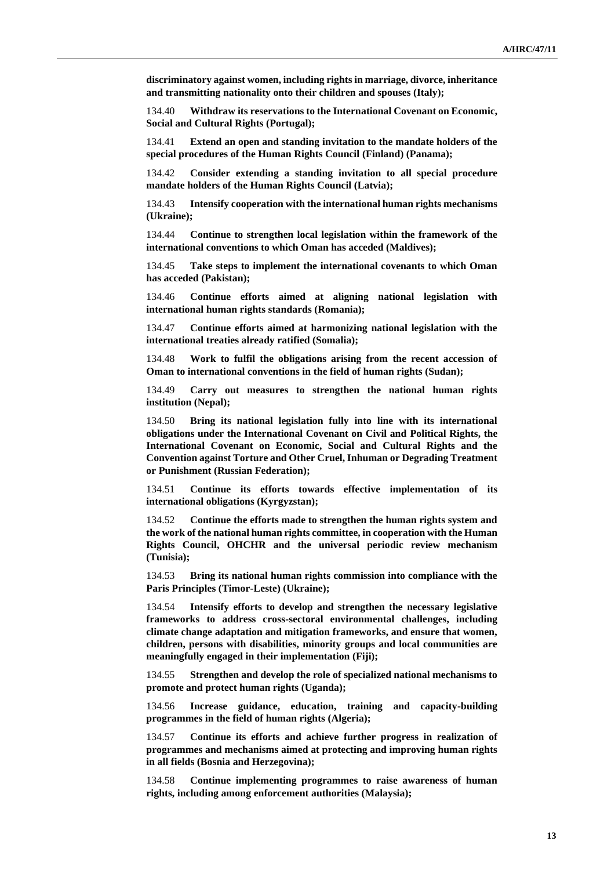**discriminatory against women, including rights in marriage, divorce, inheritance and transmitting nationality onto their children and spouses (Italy);**

134.40 **Withdraw its reservations to the International Covenant on Economic, Social and Cultural Rights (Portugal);**

134.41 **Extend an open and standing invitation to the mandate holders of the special procedures of the Human Rights Council (Finland) (Panama);**

134.42 **Consider extending a standing invitation to all special procedure mandate holders of the Human Rights Council (Latvia);**

134.43 **Intensify cooperation with the international human rights mechanisms (Ukraine);**

134.44 **Continue to strengthen local legislation within the framework of the international conventions to which Oman has acceded (Maldives);**

134.45 **Take steps to implement the international covenants to which Oman has acceded (Pakistan);**

134.46 **Continue efforts aimed at aligning national legislation with international human rights standards (Romania);**

134.47 **Continue efforts aimed at harmonizing national legislation with the international treaties already ratified (Somalia);**

134.48 **Work to fulfil the obligations arising from the recent accession of Oman to international conventions in the field of human rights (Sudan);**

134.49 **Carry out measures to strengthen the national human rights institution (Nepal);**

134.50 **Bring its national legislation fully into line with its international obligations under the International Covenant on Civil and Political Rights, the International Covenant on Economic, Social and Cultural Rights and the Convention against Torture and Other Cruel, Inhuman or Degrading Treatment or Punishment (Russian Federation);**

134.51 **Continue its efforts towards effective implementation of its international obligations (Kyrgyzstan);**

134.52 **Continue the efforts made to strengthen the human rights system and the work of the national human rights committee, in cooperation with the Human Rights Council, OHCHR and the universal periodic review mechanism (Tunisia);**

134.53 **Bring its national human rights commission into compliance with the Paris Principles (Timor-Leste) (Ukraine);**

134.54 **Intensify efforts to develop and strengthen the necessary legislative frameworks to address cross-sectoral environmental challenges, including climate change adaptation and mitigation frameworks, and ensure that women, children, persons with disabilities, minority groups and local communities are meaningfully engaged in their implementation (Fiji);**

134.55 **Strengthen and develop the role of specialized national mechanisms to promote and protect human rights (Uganda);**

134.56 **Increase guidance, education, training and capacity-building programmes in the field of human rights (Algeria);**

134.57 **Continue its efforts and achieve further progress in realization of programmes and mechanisms aimed at protecting and improving human rights in all fields (Bosnia and Herzegovina);**

134.58 **Continue implementing programmes to raise awareness of human rights, including among enforcement authorities (Malaysia);**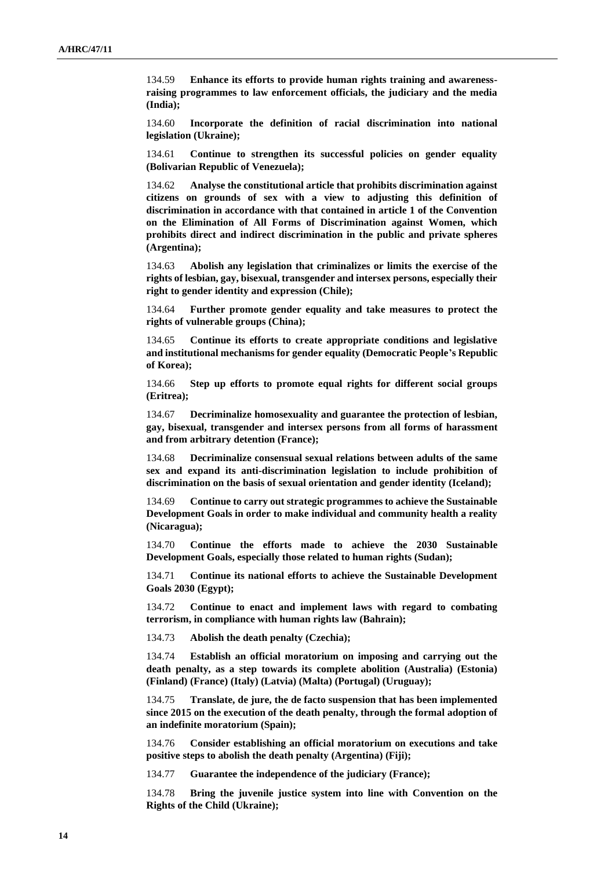134.59 **Enhance its efforts to provide human rights training and awarenessraising programmes to law enforcement officials, the judiciary and the media (India);**

134.60 **Incorporate the definition of racial discrimination into national legislation (Ukraine);**

134.61 **Continue to strengthen its successful policies on gender equality (Bolivarian Republic of Venezuela);**

134.62 **Analyse the constitutional article that prohibits discrimination against citizens on grounds of sex with a view to adjusting this definition of discrimination in accordance with that contained in article 1 of the Convention on the Elimination of All Forms of Discrimination against Women, which prohibits direct and indirect discrimination in the public and private spheres (Argentina);**

134.63 **Abolish any legislation that criminalizes or limits the exercise of the rights of lesbian, gay, bisexual, transgender and intersex persons, especially their right to gender identity and expression (Chile);**

134.64 **Further promote gender equality and take measures to protect the rights of vulnerable groups (China);**

134.65 **Continue its efforts to create appropriate conditions and legislative and institutional mechanisms for gender equality (Democratic People's Republic of Korea);**

134.66 **Step up efforts to promote equal rights for different social groups (Eritrea);** 

134.67 **Decriminalize homosexuality and guarantee the protection of lesbian, gay, bisexual, transgender and intersex persons from all forms of harassment and from arbitrary detention (France);**

134.68 **Decriminalize consensual sexual relations between adults of the same sex and expand its anti-discrimination legislation to include prohibition of discrimination on the basis of sexual orientation and gender identity (Iceland);**

134.69 **Continue to carry out strategic programmes to achieve the Sustainable Development Goals in order to make individual and community health a reality (Nicaragua);**

134.70 **Continue the efforts made to achieve the 2030 Sustainable Development Goals, especially those related to human rights (Sudan);**

134.71 **Continue its national efforts to achieve the Sustainable Development Goals 2030 (Egypt);**

134.72 **Continue to enact and implement laws with regard to combating terrorism, in compliance with human rights law (Bahrain);**

134.73 **Abolish the death penalty (Czechia);**

134.74 **Establish an official moratorium on imposing and carrying out the death penalty, as a step towards its complete abolition (Australia) (Estonia) (Finland) (France) (Italy) (Latvia) (Malta) (Portugal) (Uruguay);**

134.75 **Translate, de jure, the de facto suspension that has been implemented since 2015 on the execution of the death penalty, through the formal adoption of an indefinite moratorium (Spain);**

134.76 **Consider establishing an official moratorium on executions and take positive steps to abolish the death penalty (Argentina) (Fiji);**

134.77 **Guarantee the independence of the judiciary (France);**

134.78 **Bring the juvenile justice system into line with Convention on the Rights of the Child (Ukraine);**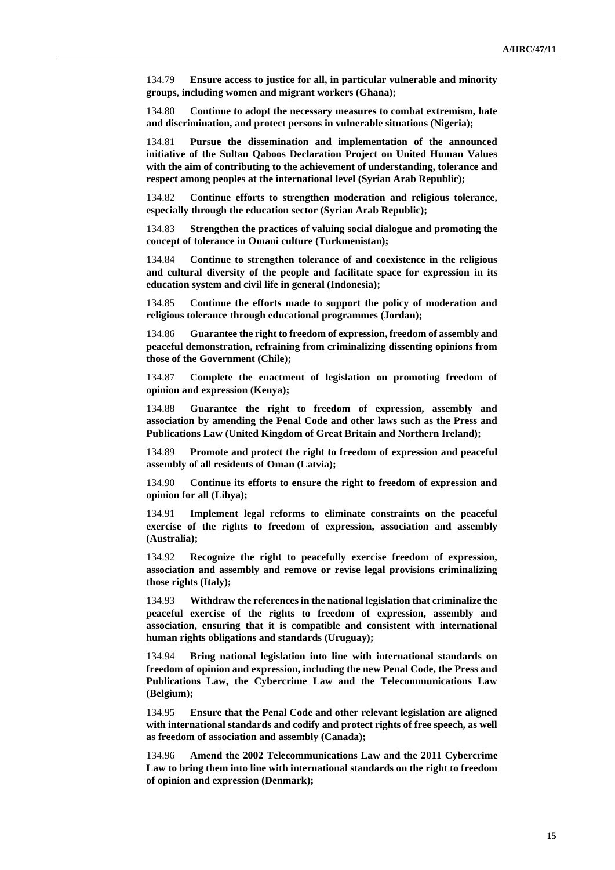134.79 **Ensure access to justice for all, in particular vulnerable and minority groups, including women and migrant workers (Ghana);**

134.80 **Continue to adopt the necessary measures to combat extremism, hate and discrimination, and protect persons in vulnerable situations (Nigeria);**

134.81 **Pursue the dissemination and implementation of the announced initiative of the Sultan Qaboos Declaration Project on United Human Values with the aim of contributing to the achievement of understanding, tolerance and respect among peoples at the international level (Syrian Arab Republic);**

134.82 **Continue efforts to strengthen moderation and religious tolerance, especially through the education sector (Syrian Arab Republic);**

134.83 **Strengthen the practices of valuing social dialogue and promoting the concept of tolerance in Omani culture (Turkmenistan);**

134.84 **Continue to strengthen tolerance of and coexistence in the religious and cultural diversity of the people and facilitate space for expression in its education system and civil life in general (Indonesia);**

134.85 **Continue the efforts made to support the policy of moderation and religious tolerance through educational programmes (Jordan);**

134.86 **Guarantee the right to freedom of expression, freedom of assembly and peaceful demonstration, refraining from criminalizing dissenting opinions from those of the Government (Chile);**

134.87 **Complete the enactment of legislation on promoting freedom of opinion and expression (Kenya);**

134.88 **Guarantee the right to freedom of expression, assembly and association by amending the Penal Code and other laws such as the Press and Publications Law (United Kingdom of Great Britain and Northern Ireland);**

134.89 **Promote and protect the right to freedom of expression and peaceful assembly of all residents of Oman (Latvia);**

134.90 **Continue its efforts to ensure the right to freedom of expression and opinion for all (Libya);**

134.91 **Implement legal reforms to eliminate constraints on the peaceful exercise of the rights to freedom of expression, association and assembly (Australia);**

134.92 **Recognize the right to peacefully exercise freedom of expression, association and assembly and remove or revise legal provisions criminalizing those rights (Italy);**

134.93 **Withdraw the references in the national legislation that criminalize the peaceful exercise of the rights to freedom of expression, assembly and association, ensuring that it is compatible and consistent with international human rights obligations and standards (Uruguay);**

134.94 **Bring national legislation into line with international standards on freedom of opinion and expression, including the new Penal Code, the Press and Publications Law, the Cybercrime Law and the Telecommunications Law (Belgium);**

134.95 **Ensure that the Penal Code and other relevant legislation are aligned with international standards and codify and protect rights of free speech, as well as freedom of association and assembly (Canada);**

134.96 **Amend the 2002 Telecommunications Law and the 2011 Cybercrime Law to bring them into line with international standards on the right to freedom of opinion and expression (Denmark);**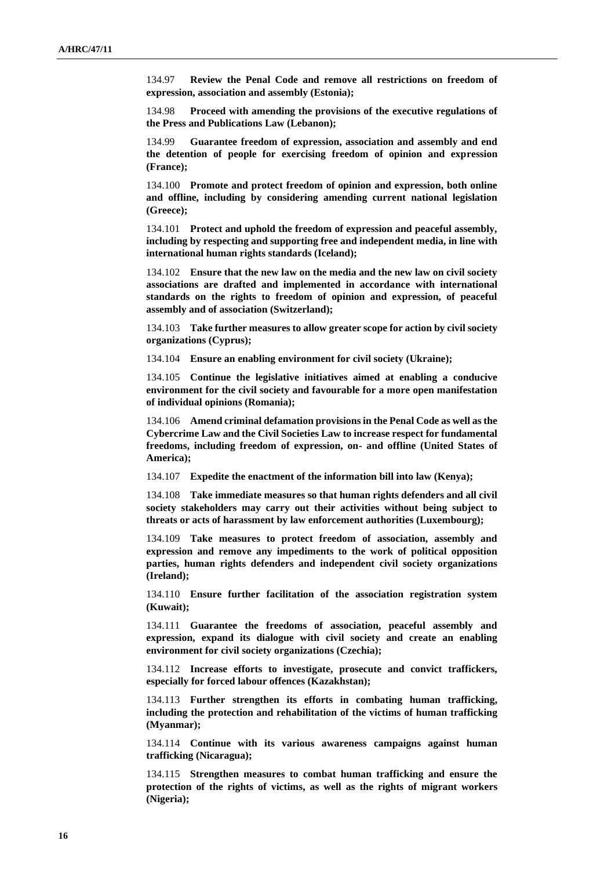134.97 **Review the Penal Code and remove all restrictions on freedom of expression, association and assembly (Estonia);**

134.98 **Proceed with amending the provisions of the executive regulations of the Press and Publications Law (Lebanon);**

134.99 **Guarantee freedom of expression, association and assembly and end the detention of people for exercising freedom of opinion and expression (France);**

134.100 **Promote and protect freedom of opinion and expression, both online and offline, including by considering amending current national legislation (Greece);**

134.101 **Protect and uphold the freedom of expression and peaceful assembly, including by respecting and supporting free and independent media, in line with international human rights standards (Iceland);**

134.102 **Ensure that the new law on the media and the new law on civil society associations are drafted and implemented in accordance with international standards on the rights to freedom of opinion and expression, of peaceful assembly and of association (Switzerland);**

134.103 **Take further measures to allow greater scope for action by civil society organizations (Cyprus);**

134.104 **Ensure an enabling environment for civil society (Ukraine);**

134.105 **Continue the legislative initiatives aimed at enabling a conducive environment for the civil society and favourable for a more open manifestation of individual opinions (Romania);**

134.106 **Amend criminal defamation provisions in the Penal Code as well as the Cybercrime Law and the Civil Societies Law to increase respect for fundamental freedoms, including freedom of expression, on- and offline (United States of America);**

134.107 **Expedite the enactment of the information bill into law (Kenya);**

134.108 **Take immediate measures so that human rights defenders and all civil society stakeholders may carry out their activities without being subject to threats or acts of harassment by law enforcement authorities (Luxembourg);**

134.109 **Take measures to protect freedom of association, assembly and expression and remove any impediments to the work of political opposition parties, human rights defenders and independent civil society organizations (Ireland);**

134.110 **Ensure further facilitation of the association registration system (Kuwait);**

134.111 **Guarantee the freedoms of association, peaceful assembly and expression, expand its dialogue with civil society and create an enabling environment for civil society organizations (Czechia);**

134.112 **Increase efforts to investigate, prosecute and convict traffickers, especially for forced labour offences (Kazakhstan);**

134.113 **Further strengthen its efforts in combating human trafficking, including the protection and rehabilitation of the victims of human trafficking (Myanmar);**

134.114 **Continue with its various awareness campaigns against human trafficking (Nicaragua);**

134.115 **Strengthen measures to combat human trafficking and ensure the protection of the rights of victims, as well as the rights of migrant workers (Nigeria);**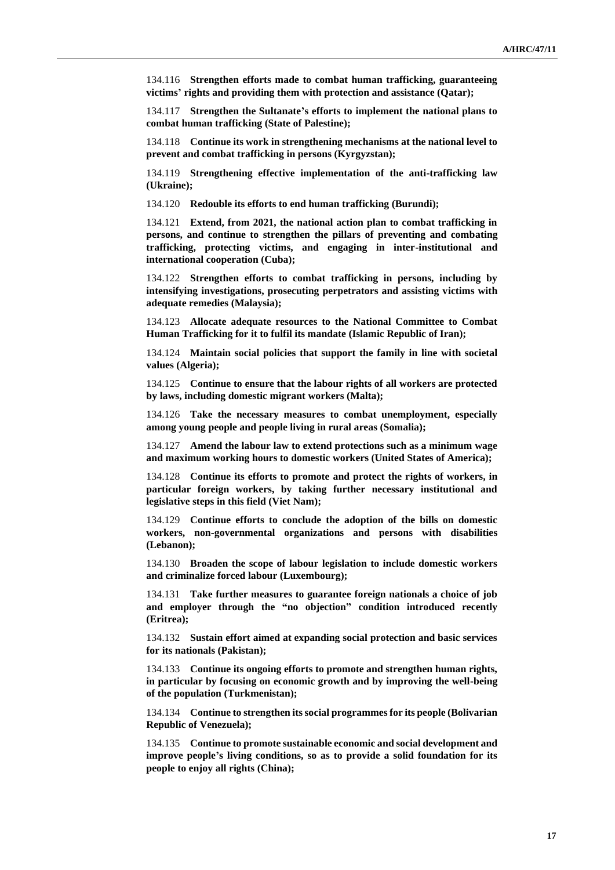134.116 **Strengthen efforts made to combat human trafficking, guaranteeing victims' rights and providing them with protection and assistance (Qatar);**

134.117 **Strengthen the Sultanate's efforts to implement the national plans to combat human trafficking (State of Palestine);**

134.118 **Continue its work in strengthening mechanisms at the national level to prevent and combat trafficking in persons (Kyrgyzstan);**

134.119 **Strengthening effective implementation of the anti-trafficking law (Ukraine);**

134.120 **Redouble its efforts to end human trafficking (Burundi);**

134.121 **Extend, from 2021, the national action plan to combat trafficking in persons, and continue to strengthen the pillars of preventing and combating trafficking, protecting victims, and engaging in inter-institutional and international cooperation (Cuba);**

134.122 **Strengthen efforts to combat trafficking in persons, including by intensifying investigations, prosecuting perpetrators and assisting victims with adequate remedies (Malaysia);**

134.123 **Allocate adequate resources to the National Committee to Combat Human Trafficking for it to fulfil its mandate (Islamic Republic of Iran);**

134.124 **Maintain social policies that support the family in line with societal values (Algeria);**

134.125 **Continue to ensure that the labour rights of all workers are protected by laws, including domestic migrant workers (Malta);**

134.126 **Take the necessary measures to combat unemployment, especially among young people and people living in rural areas (Somalia);**

134.127 **Amend the labour law to extend protections such as a minimum wage and maximum working hours to domestic workers (United States of America);**

134.128 **Continue its efforts to promote and protect the rights of workers, in particular foreign workers, by taking further necessary institutional and legislative steps in this field (Viet Nam);**

134.129 **Continue efforts to conclude the adoption of the bills on domestic workers, non-governmental organizations and persons with disabilities (Lebanon);**

134.130 **Broaden the scope of labour legislation to include domestic workers and criminalize forced labour (Luxembourg);**

134.131 **Take further measures to guarantee foreign nationals a choice of job and employer through the "no objection" condition introduced recently (Eritrea);**

134.132 **Sustain effort aimed at expanding social protection and basic services for its nationals (Pakistan);**

134.133 **Continue its ongoing efforts to promote and strengthen human rights, in particular by focusing on economic growth and by improving the well-being of the population (Turkmenistan);**

134.134 **Continue to strengthen its social programmes for its people (Bolivarian Republic of Venezuela);**

134.135 **Continue to promote sustainable economic and social development and improve people's living conditions, so as to provide a solid foundation for its people to enjoy all rights (China);**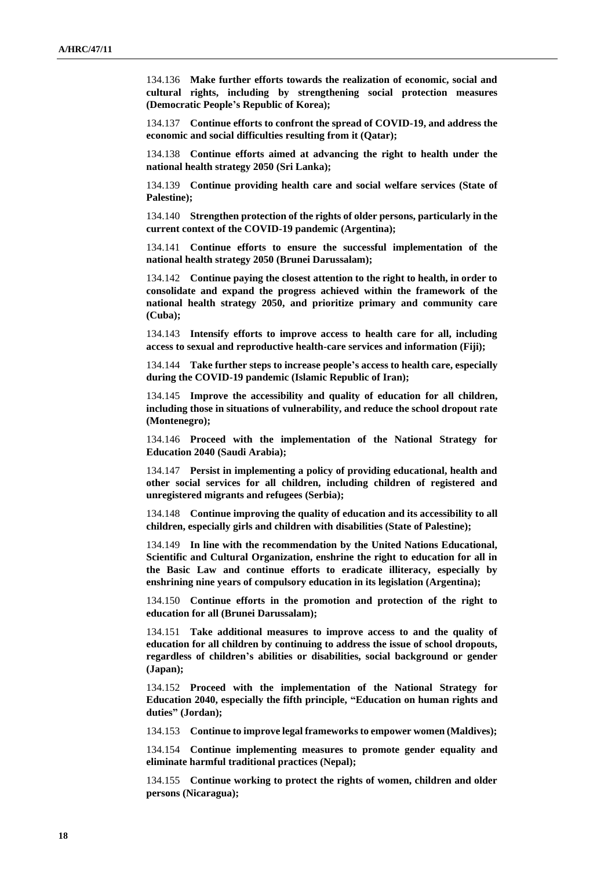134.136 **Make further efforts towards the realization of economic, social and cultural rights, including by strengthening social protection measures (Democratic People's Republic of Korea);**

134.137 **Continue efforts to confront the spread of COVID-19, and address the economic and social difficulties resulting from it (Qatar);**

134.138 **Continue efforts aimed at advancing the right to health under the national health strategy 2050 (Sri Lanka);**

134.139 **Continue providing health care and social welfare services (State of Palestine);**

134.140 **Strengthen protection of the rights of older persons, particularly in the current context of the COVID-19 pandemic (Argentina);**

134.141 **Continue efforts to ensure the successful implementation of the national health strategy 2050 (Brunei Darussalam);**

134.142 **Continue paying the closest attention to the right to health, in order to consolidate and expand the progress achieved within the framework of the national health strategy 2050, and prioritize primary and community care (Cuba);**

134.143 **Intensify efforts to improve access to health care for all, including access to sexual and reproductive health-care services and information (Fiji);**

134.144 **Take further steps to increase people's access to health care, especially during the COVID-19 pandemic (Islamic Republic of Iran);**

134.145 **Improve the accessibility and quality of education for all children, including those in situations of vulnerability, and reduce the school dropout rate (Montenegro);**

134.146 **Proceed with the implementation of the National Strategy for Education 2040 (Saudi Arabia);**

134.147 **Persist in implementing a policy of providing educational, health and other social services for all children, including children of registered and unregistered migrants and refugees (Serbia);**

134.148 **Continue improving the quality of education and its accessibility to all children, especially girls and children with disabilities (State of Palestine);**

134.149 **In line with the recommendation by the United Nations Educational, Scientific and Cultural Organization, enshrine the right to education for all in the Basic Law and continue efforts to eradicate illiteracy, especially by enshrining nine years of compulsory education in its legislation (Argentina);**

134.150 **Continue efforts in the promotion and protection of the right to education for all (Brunei Darussalam);**

134.151 **Take additional measures to improve access to and the quality of education for all children by continuing to address the issue of school dropouts, regardless of children's abilities or disabilities, social background or gender (Japan);**

134.152 **Proceed with the implementation of the National Strategy for Education 2040, especially the fifth principle, "Education on human rights and duties" (Jordan);**

134.153 **Continue to improve legal frameworks to empower women (Maldives);**

134.154 **Continue implementing measures to promote gender equality and eliminate harmful traditional practices (Nepal);**

134.155 **Continue working to protect the rights of women, children and older persons (Nicaragua);**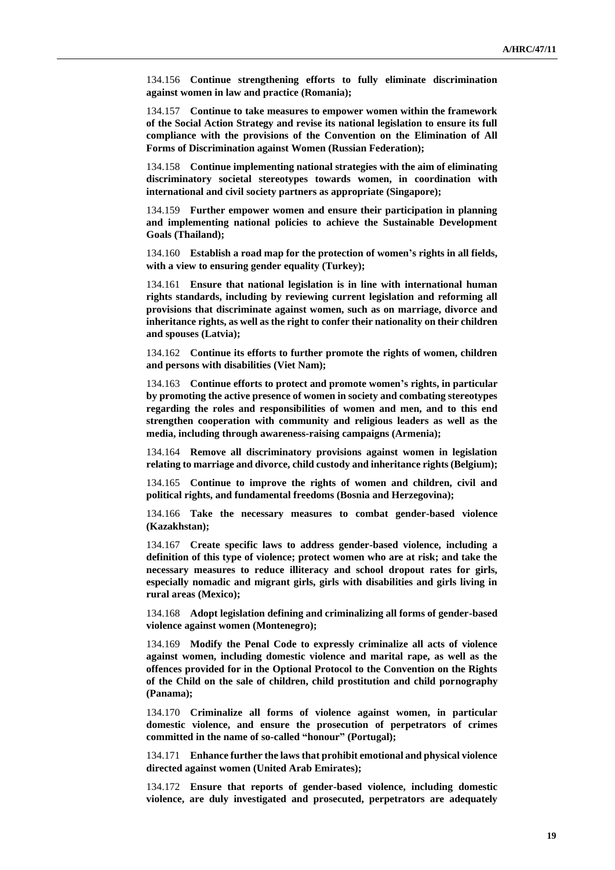134.156 **Continue strengthening efforts to fully eliminate discrimination against women in law and practice (Romania);**

134.157 **Continue to take measures to empower women within the framework of the Social Action Strategy and revise its national legislation to ensure its full compliance with the provisions of the Convention on the Elimination of All Forms of Discrimination against Women (Russian Federation);**

134.158 **Continue implementing national strategies with the aim of eliminating discriminatory societal stereotypes towards women, in coordination with international and civil society partners as appropriate (Singapore);**

134.159 **Further empower women and ensure their participation in planning and implementing national policies to achieve the Sustainable Development Goals (Thailand);**

134.160 **Establish a road map for the protection of women's rights in all fields, with a view to ensuring gender equality (Turkey);**

134.161 **Ensure that national legislation is in line with international human rights standards, including by reviewing current legislation and reforming all provisions that discriminate against women, such as on marriage, divorce and inheritance rights, as well as the right to confer their nationality on their children and spouses (Latvia);**

134.162 **Continue its efforts to further promote the rights of women, children and persons with disabilities (Viet Nam);**

134.163 **Continue efforts to protect and promote women's rights, in particular by promoting the active presence of women in society and combating stereotypes regarding the roles and responsibilities of women and men, and to this end strengthen cooperation with community and religious leaders as well as the media, including through awareness-raising campaigns (Armenia);**

134.164 **Remove all discriminatory provisions against women in legislation relating to marriage and divorce, child custody and inheritance rights (Belgium);**

134.165 **Continue to improve the rights of women and children, civil and political rights, and fundamental freedoms (Bosnia and Herzegovina);**

134.166 **Take the necessary measures to combat gender-based violence (Kazakhstan);**

134.167 **Create specific laws to address gender-based violence, including a definition of this type of violence; protect women who are at risk; and take the necessary measures to reduce illiteracy and school dropout rates for girls, especially nomadic and migrant girls, girls with disabilities and girls living in rural areas (Mexico);**

134.168 **Adopt legislation defining and criminalizing all forms of gender-based violence against women (Montenegro);**

134.169 **Modify the Penal Code to expressly criminalize all acts of violence against women, including domestic violence and marital rape, as well as the offences provided for in the Optional Protocol to the Convention on the Rights of the Child on the sale of children, child prostitution and child pornography (Panama);**

134.170 **Criminalize all forms of violence against women, in particular domestic violence, and ensure the prosecution of perpetrators of crimes committed in the name of so-called "honour" (Portugal);**

134.171 **Enhance further the laws that prohibit emotional and physical violence directed against women (United Arab Emirates);**

134.172 **Ensure that reports of gender-based violence, including domestic violence, are duly investigated and prosecuted, perpetrators are adequately**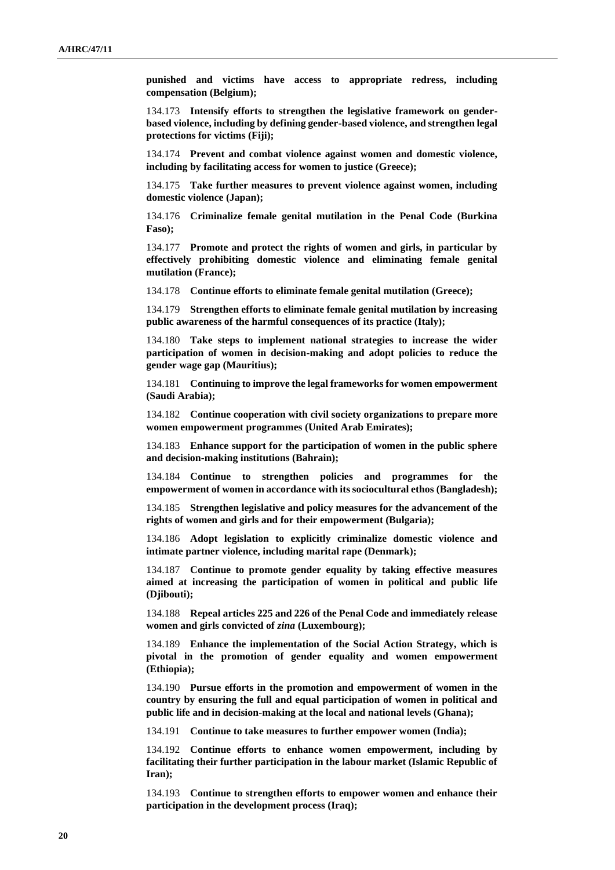**punished and victims have access to appropriate redress, including compensation (Belgium);**

134.173 **Intensify efforts to strengthen the legislative framework on genderbased violence, including by defining gender-based violence, and strengthen legal protections for victims (Fiji);**

134.174 **Prevent and combat violence against women and domestic violence, including by facilitating access for women to justice (Greece);**

134.175 **Take further measures to prevent violence against women, including domestic violence (Japan);**

134.176 **Criminalize female genital mutilation in the Penal Code (Burkina Faso);**

134.177 **Promote and protect the rights of women and girls, in particular by effectively prohibiting domestic violence and eliminating female genital mutilation (France);**

134.178 **Continue efforts to eliminate female genital mutilation (Greece);**

134.179 **Strengthen efforts to eliminate female genital mutilation by increasing public awareness of the harmful consequences of its practice (Italy);**

134.180 **Take steps to implement national strategies to increase the wider participation of women in decision-making and adopt policies to reduce the gender wage gap (Mauritius);**

134.181 **Continuing to improve the legal frameworks for women empowerment (Saudi Arabia);**

134.182 **Continue cooperation with civil society organizations to prepare more women empowerment programmes (United Arab Emirates);**

134.183 **Enhance support for the participation of women in the public sphere and decision-making institutions (Bahrain);**

134.184 **Continue to strengthen policies and programmes for the empowerment of women in accordance with its sociocultural ethos (Bangladesh);**

134.185 **Strengthen legislative and policy measures for the advancement of the rights of women and girls and for their empowerment (Bulgaria);**

134.186 **Adopt legislation to explicitly criminalize domestic violence and intimate partner violence, including marital rape (Denmark);**

134.187 **Continue to promote gender equality by taking effective measures aimed at increasing the participation of women in political and public life (Djibouti);**

134.188 **Repeal articles 225 and 226 of the Penal Code and immediately release women and girls convicted of** *zina* **(Luxembourg);**

134.189 **Enhance the implementation of the Social Action Strategy, which is pivotal in the promotion of gender equality and women empowerment (Ethiopia);**

134.190 **Pursue efforts in the promotion and empowerment of women in the country by ensuring the full and equal participation of women in political and public life and in decision-making at the local and national levels (Ghana);**

134.191 **Continue to take measures to further empower women (India);**

134.192 **Continue efforts to enhance women empowerment, including by facilitating their further participation in the labour market (Islamic Republic of Iran);**

134.193 **Continue to strengthen efforts to empower women and enhance their participation in the development process (Iraq);**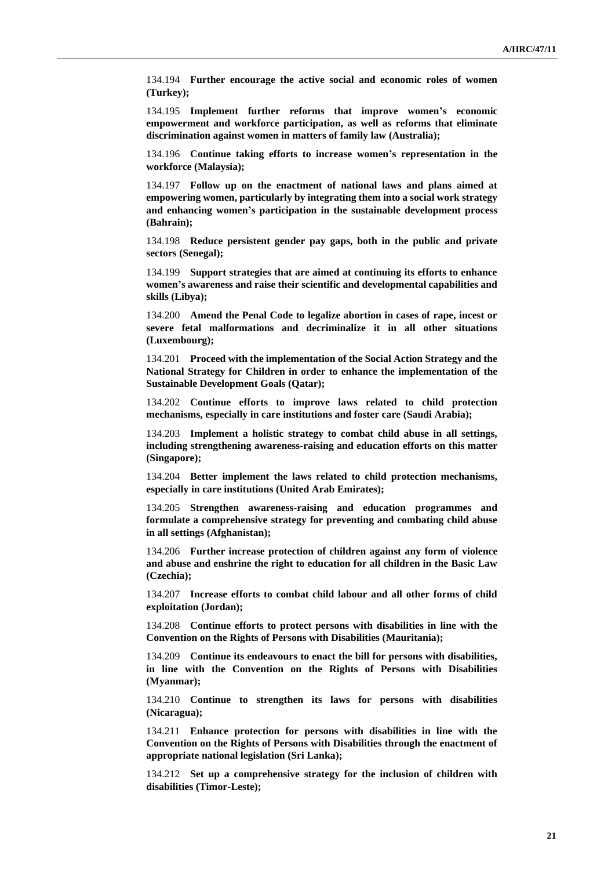134.194 **Further encourage the active social and economic roles of women (Turkey);**

134.195 **Implement further reforms that improve women's economic empowerment and workforce participation, as well as reforms that eliminate discrimination against women in matters of family law (Australia);**

134.196 **Continue taking efforts to increase women's representation in the workforce (Malaysia);**

134.197 **Follow up on the enactment of national laws and plans aimed at empowering women, particularly by integrating them into a social work strategy and enhancing women's participation in the sustainable development process (Bahrain);**

134.198 **Reduce persistent gender pay gaps, both in the public and private sectors (Senegal);**

134.199 **Support strategies that are aimed at continuing its efforts to enhance women's awareness and raise their scientific and developmental capabilities and skills (Libya);**

134.200 **Amend the Penal Code to legalize abortion in cases of rape, incest or severe fetal malformations and decriminalize it in all other situations (Luxembourg);**

134.201 **Proceed with the implementation of the Social Action Strategy and the National Strategy for Children in order to enhance the implementation of the Sustainable Development Goals (Qatar);**

134.202 **Continue efforts to improve laws related to child protection mechanisms, especially in care institutions and foster care (Saudi Arabia);**

134.203 **Implement a holistic strategy to combat child abuse in all settings, including strengthening awareness-raising and education efforts on this matter (Singapore);**

134.204 **Better implement the laws related to child protection mechanisms, especially in care institutions (United Arab Emirates);**

134.205 **Strengthen awareness-raising and education programmes and formulate a comprehensive strategy for preventing and combating child abuse in all settings (Afghanistan);**

134.206 **Further increase protection of children against any form of violence and abuse and enshrine the right to education for all children in the Basic Law (Czechia);**

134.207 **Increase efforts to combat child labour and all other forms of child exploitation (Jordan);**

134.208 **Continue efforts to protect persons with disabilities in line with the Convention on the Rights of Persons with Disabilities (Mauritania);**

134.209 **Continue its endeavours to enact the bill for persons with disabilities, in line with the Convention on the Rights of Persons with Disabilities (Myanmar);**

134.210 **Continue to strengthen its laws for persons with disabilities (Nicaragua);**

134.211 **Enhance protection for persons with disabilities in line with the Convention on the Rights of Persons with Disabilities through the enactment of appropriate national legislation (Sri Lanka);**

134.212 **Set up a comprehensive strategy for the inclusion of children with disabilities (Timor-Leste);**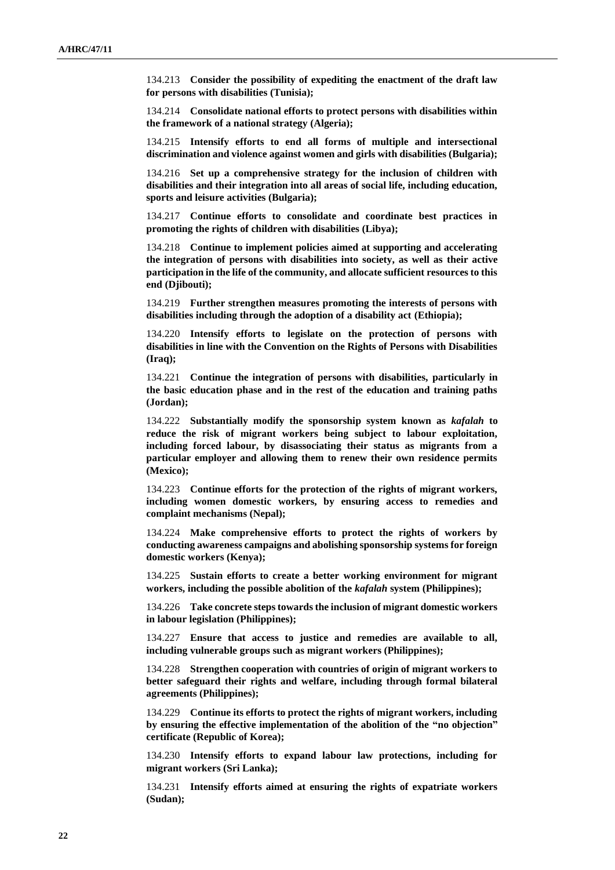134.213 **Consider the possibility of expediting the enactment of the draft law for persons with disabilities (Tunisia);**

134.214 **Consolidate national efforts to protect persons with disabilities within the framework of a national strategy (Algeria);**

134.215 **Intensify efforts to end all forms of multiple and intersectional discrimination and violence against women and girls with disabilities (Bulgaria);**

134.216 **Set up a comprehensive strategy for the inclusion of children with disabilities and their integration into all areas of social life, including education, sports and leisure activities (Bulgaria);**

134.217 **Continue efforts to consolidate and coordinate best practices in promoting the rights of children with disabilities (Libya);**

134.218 **Continue to implement policies aimed at supporting and accelerating the integration of persons with disabilities into society, as well as their active participation in the life of the community, and allocate sufficient resources to this end (Djibouti);**

134.219 **Further strengthen measures promoting the interests of persons with disabilities including through the adoption of a disability act (Ethiopia);**

134.220 **Intensify efforts to legislate on the protection of persons with disabilities in line with the Convention on the Rights of Persons with Disabilities (Iraq);**

134.221 **Continue the integration of persons with disabilities, particularly in the basic education phase and in the rest of the education and training paths (Jordan);**

134.222 **Substantially modify the sponsorship system known as** *kafalah* **to reduce the risk of migrant workers being subject to labour exploitation, including forced labour, by disassociating their status as migrants from a particular employer and allowing them to renew their own residence permits (Mexico);**

134.223 **Continue efforts for the protection of the rights of migrant workers, including women domestic workers, by ensuring access to remedies and complaint mechanisms (Nepal);**

134.224 **Make comprehensive efforts to protect the rights of workers by conducting awareness campaigns and abolishing sponsorship systems for foreign domestic workers (Kenya);**

134.225 **Sustain efforts to create a better working environment for migrant workers, including the possible abolition of the** *kafalah* **system (Philippines);**

134.226 **Take concrete steps towards the inclusion of migrant domestic workers in labour legislation (Philippines);**

134.227 **Ensure that access to justice and remedies are available to all, including vulnerable groups such as migrant workers (Philippines);**

134.228 **Strengthen cooperation with countries of origin of migrant workers to better safeguard their rights and welfare, including through formal bilateral agreements (Philippines);**

134.229 **Continue its efforts to protect the rights of migrant workers, including by ensuring the effective implementation of the abolition of the "no objection" certificate (Republic of Korea);**

134.230 **Intensify efforts to expand labour law protections, including for migrant workers (Sri Lanka);**

134.231 **Intensify efforts aimed at ensuring the rights of expatriate workers (Sudan);**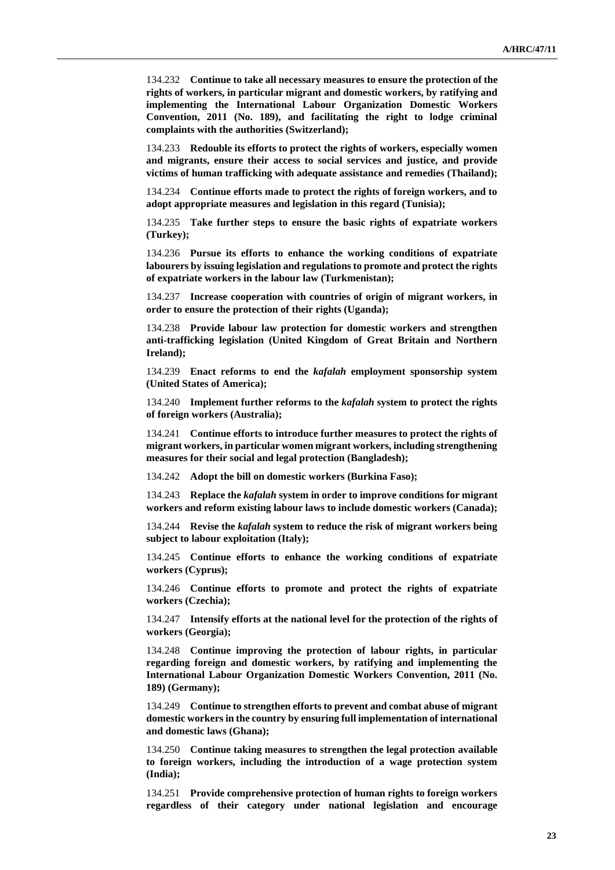134.232 **Continue to take all necessary measures to ensure the protection of the rights of workers, in particular migrant and domestic workers, by ratifying and implementing the International Labour Organization Domestic Workers Convention, 2011 (No. 189), and facilitating the right to lodge criminal complaints with the authorities (Switzerland);**

134.233 **Redouble its efforts to protect the rights of workers, especially women and migrants, ensure their access to social services and justice, and provide victims of human trafficking with adequate assistance and remedies (Thailand);**

134.234 **Continue efforts made to protect the rights of foreign workers, and to adopt appropriate measures and legislation in this regard (Tunisia);**

134.235 **Take further steps to ensure the basic rights of expatriate workers (Turkey);**

134.236 **Pursue its efforts to enhance the working conditions of expatriate labourers by issuing legislation and regulations to promote and protect the rights of expatriate workers in the labour law (Turkmenistan);**

134.237 **Increase cooperation with countries of origin of migrant workers, in order to ensure the protection of their rights (Uganda);**

134.238 **Provide labour law protection for domestic workers and strengthen anti-trafficking legislation (United Kingdom of Great Britain and Northern Ireland);**

134.239 **Enact reforms to end the** *kafalah* **employment sponsorship system (United States of America);**

134.240 **Implement further reforms to the** *kafalah* **system to protect the rights of foreign workers (Australia);**

134.241 **Continue efforts to introduce further measures to protect the rights of migrant workers, in particular women migrant workers, including strengthening measures for their social and legal protection (Bangladesh);**

134.242 **Adopt the bill on domestic workers (Burkina Faso);**

134.243 **Replace the** *kafalah* **system in order to improve conditions for migrant workers and reform existing labour laws to include domestic workers (Canada);**

134.244 **Revise the** *kafalah* **system to reduce the risk of migrant workers being subject to labour exploitation (Italy);**

134.245 **Continue efforts to enhance the working conditions of expatriate workers (Cyprus);**

134.246 **Continue efforts to promote and protect the rights of expatriate workers (Czechia);**

134.247 **Intensify efforts at the national level for the protection of the rights of workers (Georgia);**

134.248 **Continue improving the protection of labour rights, in particular regarding foreign and domestic workers, by ratifying and implementing the International Labour Organization Domestic Workers Convention, 2011 (No. 189) (Germany);**

134.249 **Continue to strengthen efforts to prevent and combat abuse of migrant domestic workers in the country by ensuring full implementation of international and domestic laws (Ghana);**

134.250 **Continue taking measures to strengthen the legal protection available to foreign workers, including the introduction of a wage protection system (India);**

134.251 **Provide comprehensive protection of human rights to foreign workers regardless of their category under national legislation and encourage**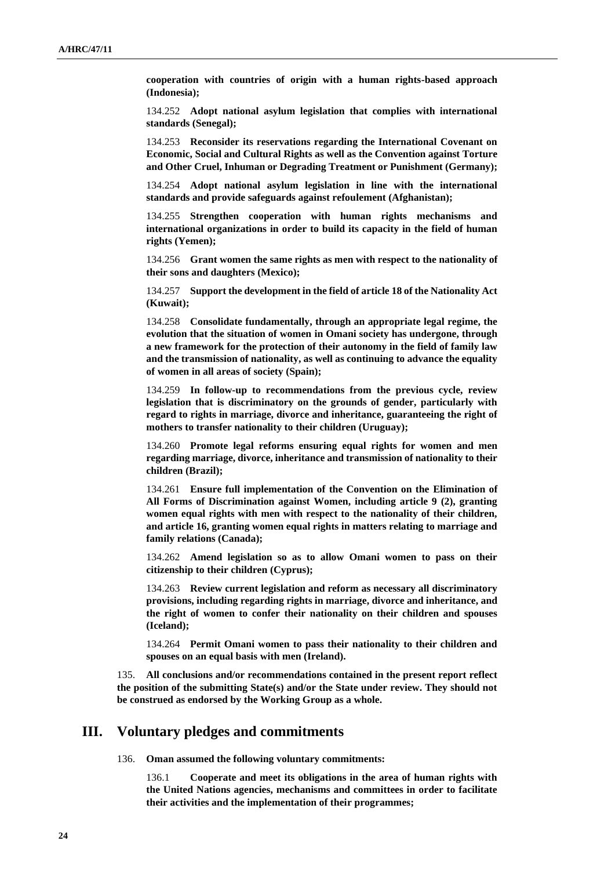**cooperation with countries of origin with a human rights-based approach (Indonesia);**

134.252 **Adopt national asylum legislation that complies with international standards (Senegal);**

134.253 **Reconsider its reservations regarding the International Covenant on Economic, Social and Cultural Rights as well as the Convention against Torture and Other Cruel, Inhuman or Degrading Treatment or Punishment (Germany);**

134.254 **Adopt national asylum legislation in line with the international standards and provide safeguards against refoulement (Afghanistan);**

134.255 **Strengthen cooperation with human rights mechanisms and international organizations in order to build its capacity in the field of human rights (Yemen);**

134.256 **Grant women the same rights as men with respect to the nationality of their sons and daughters (Mexico);**

134.257 **Support the development in the field of article 18 of the Nationality Act (Kuwait);**

134.258 **Consolidate fundamentally, through an appropriate legal regime, the evolution that the situation of women in Omani society has undergone, through a new framework for the protection of their autonomy in the field of family law and the transmission of nationality, as well as continuing to advance the equality of women in all areas of society (Spain);**

134.259 **In follow-up to recommendations from the previous cycle, review legislation that is discriminatory on the grounds of gender, particularly with regard to rights in marriage, divorce and inheritance, guaranteeing the right of mothers to transfer nationality to their children (Uruguay);**

134.260 **Promote legal reforms ensuring equal rights for women and men regarding marriage, divorce, inheritance and transmission of nationality to their children (Brazil);**

134.261 **Ensure full implementation of the Convention on the Elimination of All Forms of Discrimination against Women, including article 9 (2), granting women equal rights with men with respect to the nationality of their children, and article 16, granting women equal rights in matters relating to marriage and family relations (Canada);**

134.262 **Amend legislation so as to allow Omani women to pass on their citizenship to their children (Cyprus);**

134.263 **Review current legislation and reform as necessary all discriminatory provisions, including regarding rights in marriage, divorce and inheritance, and the right of women to confer their nationality on their children and spouses (Iceland);**

134.264 **Permit Omani women to pass their nationality to their children and spouses on an equal basis with men (Ireland).**

135. **All conclusions and/or recommendations contained in the present report reflect the position of the submitting State(s) and/or the State under review. They should not be construed as endorsed by the Working Group as a whole.**

#### **III. Voluntary pledges and commitments**

136. **Oman assumed the following voluntary commitments:**

136.1 **Cooperate and meet its obligations in the area of human rights with the United Nations agencies, mechanisms and committees in order to facilitate their activities and the implementation of their programmes;**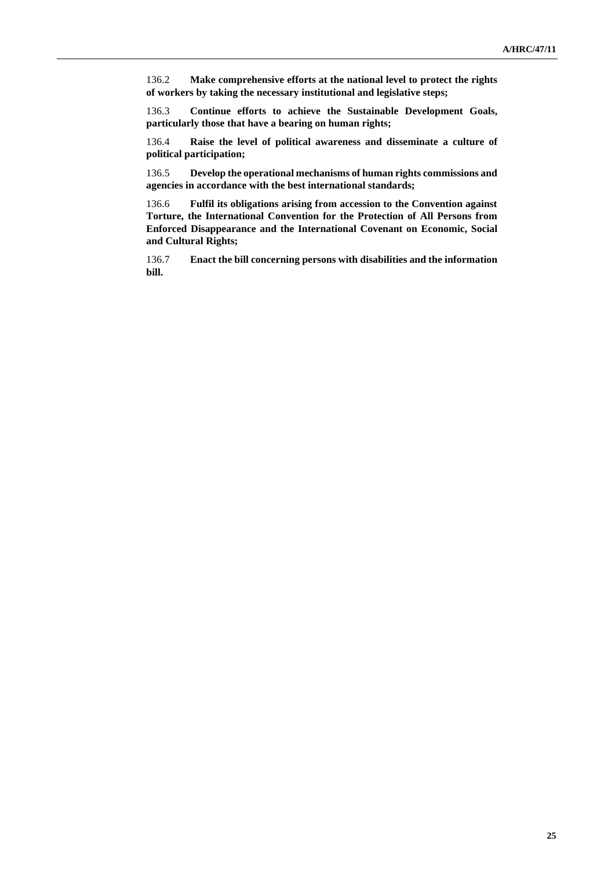136.2 **Make comprehensive efforts at the national level to protect the rights of workers by taking the necessary institutional and legislative steps;**

136.3 **Continue efforts to achieve the Sustainable Development Goals, particularly those that have a bearing on human rights;**

136.4 **Raise the level of political awareness and disseminate a culture of political participation;**

136.5 **Develop the operational mechanisms of human rights commissions and agencies in accordance with the best international standards;**

136.6 **Fulfil its obligations arising from accession to the Convention against Torture, the International Convention for the Protection of All Persons from Enforced Disappearance and the International Covenant on Economic, Social and Cultural Rights;**

136.7 **Enact the bill concerning persons with disabilities and the information bill.**